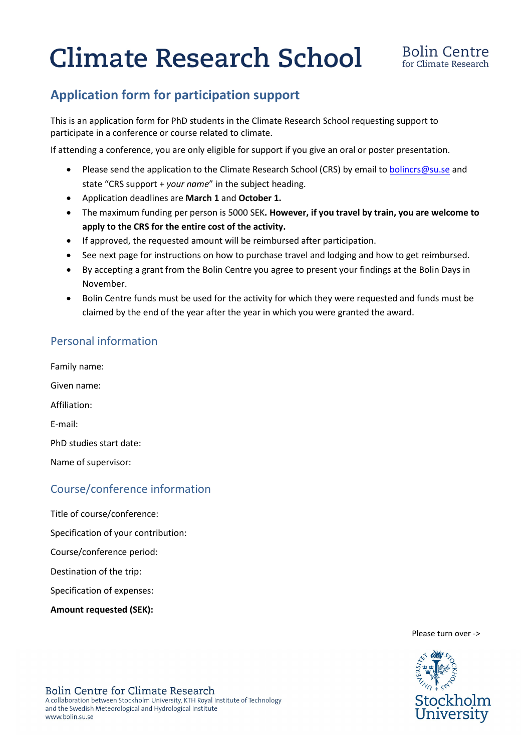# **Climate Research School**

# **Application form for participation support**

This is an application form for PhD students in the Climate Research School requesting support to participate in a conference or course related to climate.

If attending a conference, you are only eligible for support if you give an oral or poster presentation.

- Please send the application to the Climate Research School (CRS) by email to **[bolincrs@su.se](mailto:bolincrs@su.se)** and state "CRS support + *your name*" in the subject heading.
- Application deadlines are **March 1** and **October 1.**
- The maximum funding per person is 5000 SEK**. However, if you travel by train, you are welcome to apply to the CRS for the entire cost of the activity.**
- If approved, the requested amount will be reimbursed after participation.
- See next page for instructions on how to purchase travel and lodging and how to get reimbursed.
- By accepting a grant from the Bolin Centre you agree to present your findings at the Bolin Days in November.
- Bolin Centre funds must be used for the activity for which they were requested and funds must be claimed by the end of the year after the year in which you were granted the award.

### Personal information

Family name: Given name: Affiliation: E-mail: PhD studies start date: Name of supervisor:

### Course/conference information

Title of course/conference:

Specification of your contribution:

Course/conference period:

Destination of the trip:

Specification of expenses:

**Amount requested (SEK):** 

Please turn over ->